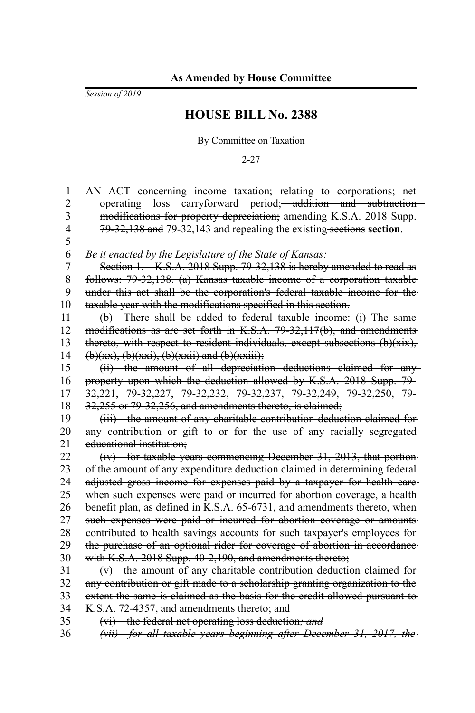*Session of 2019*

## **HOUSE BILL No. 2388**

By Committee on Taxation

2-27

| 1              | AN ACT concerning income taxation; relating to corporations; net               |
|----------------|--------------------------------------------------------------------------------|
| $\overline{c}$ | operating loss carryforward period; addition and subtraction                   |
| 3              | modifications for property depreciation; amending K.S.A. 2018 Supp.            |
| 4              | 79-32,138 and 79-32,143 and repealing the existing sections section.           |
| 5              |                                                                                |
| 6              | Be it enacted by the Legislature of the State of Kansas:                       |
| $\overline{7}$ | Section 1. K.S.A. 2018 Supp. 79-32,138 is hereby amended to read as            |
| 8              | follows: 79-32,138. (a) Kansas taxable income of a corporation taxable         |
| 9              | under this act shall be the corporation's federal taxable income for the-      |
| 10             | taxable year with the modifications specified in this section.                 |
| 11             | (b) There shall be added to federal taxable income: (i) The same-              |
| 12             | modifications as are set forth in K.S.A. 79-32,117(b), and amendments-         |
| 13             | thereto, with respect to resident individuals, except subsections $(b)(xix)$ , |
| 14             | $(b)(xx), (b)(xxi), (b)(xxii)$ and $(b)(xxiii);$                               |
| 15             | (ii) the amount of all depreciation deductions claimed for any-                |
| 16             | property upon which the deduction allowed by K.S.A. 2018 Supp. 79-             |
| 17             | 32,221, 79-32,227, 79-32,232, 79-32,237, 79-32,249, 79-32,250, 79-             |
| 18             | 32,255 or 79-32,256, and amendments thereto, is claimed;                       |
| 19             | (iii) the amount of any charitable contribution deduction claimed for          |
| 20             | any contribution or gift to or for the use of any racially segregated-         |
| 21             | educational institution:                                                       |
| 22             | (iv) for taxable years commencing December 31, 2013, that portion-             |
| 23             | of the amount of any expenditure deduction claimed in determining federal      |
| 24             | adjusted gross income for expenses paid by a taxpayer for health care-         |
| 25             | when such expenses were paid or incurred for abortion coverage, a health       |
| 26             | benefit plan, as defined in K.S.A. 65-6731, and amendments thereto, when       |
| 27             | such expenses were paid or incurred for abortion coverage or amounts-          |
| 28             | contributed to health savings accounts for such taxpayer's employees for-      |
| 29             | the purchase of an optional rider for coverage of abortion in accordance       |
| 30             | with K.S.A. 2018 Supp. 40-2,190, and amendments thereto;                       |
| 31             | $(v)$ the amount of any charitable contribution deduction claimed for-         |
| 32             | any contribution or gift made to a scholarship granting organization to the    |
| 33             | extent the same is claimed as the basis for the credit allowed pursuant to     |
| 34             | K.S.A. 72-4357, and amendments thereto; and                                    |
| 35             | (vi) the federal net operating loss deduction; and                             |
| 36             | (vii) for all taxable years beginning after December 31, 2017, the-            |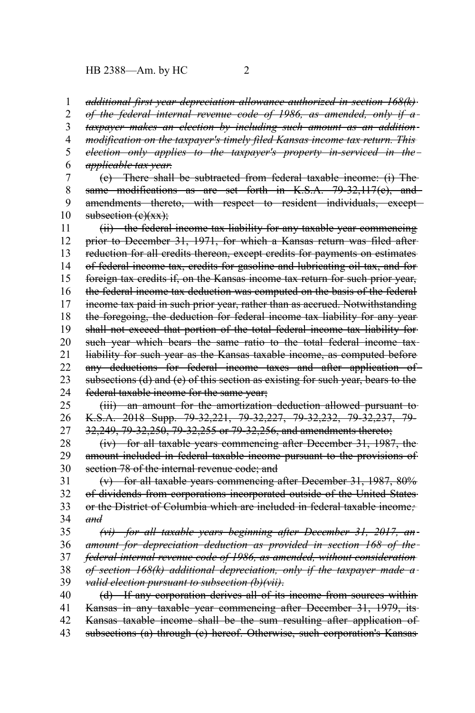## HB 2388—Am. by HC 2

*additional first year depreciation allowance authorized in section 168(k) of the federal internal revenue code of 1986, as amended, only if a taxpayer makes an election by including such amount as an addition modification on the taxpayer's timely filed Kansas income tax return. This election only applies to the taxpayer's property in-serviced in the applicable tax year*. (c) There shall be subtracted from federal taxable income: (i) The same modifications as are set forth in K.S.A. 79-32,117(e), and amendments thereto, with respect to resident individuals, exceptsubsection  $(e)(xx)$ ; (ii) the federal income tax liability for any taxable year commencing prior to December 31, 1971, for which a Kansas return was filed after reduction for all credits thereon, except credits for payments on estimates of federal income tax, credits for gasoline and lubricating oil tax, and for foreign tax credits if, on the Kansas income tax return for such prior year, the federal income tax deduction was computed on the basis of the federal income tax paid in such prior year, rather than as accrued. Notwithstanding the foregoing, the deduction for federal income tax liability for any year shall not exceed that portion of the total federal income tax liability for such year which bears the same ratio to the total federal income taxliability for such year as the Kansas taxable income, as computed before any deductions for federal income taxes and after application of subsections (d) and (e) of this section as existing for such year, bears to the federal taxable income for the same year; (iii) an amount for the amortization deduction allowed pursuant to K.S.A. 2018 Supp. 79-32,221, 79-32,227, 79-32,232, 79-32,237, 79- 32,249, 79-32,250, 79-32,255 or 79-32,256, and amendments thereto; (iv) for all taxable years commencing after December 31, 1987, the amount included in federal taxable income pursuant to the provisions of section 78 of the internal revenue code; and (v) for all taxable years commencing after December 31, 1987, 80% of dividends from corporations incorporated outside of the United States or the District of Columbia which are included in federal taxable income*; and (vi) for all taxable years beginning after December 31, 2017, an amount for depreciation deduction as provided in section 168 of the federal internal revenue code of 1986, as amended, without consideration of section 168(k) additional depreciation, only if the taxpayer made a valid election pursuant to subsection (b)(vii)*. 1 2 3 4 5 6 7 8 9 10 11 12 13 14 15 16 17 18 19 20 21 22 23 24 25 26 27 28 29 30 31 32 33 34 35 36 37 38 39

(d) If any corporation derives all of its income from sources within Kansas in any taxable year commencing after December 31, 1979, its Kansas taxable income shall be the sum resulting after application of subsections (a) through (c) hereof. Otherwise, such corporation's Kansas 40 41 42 43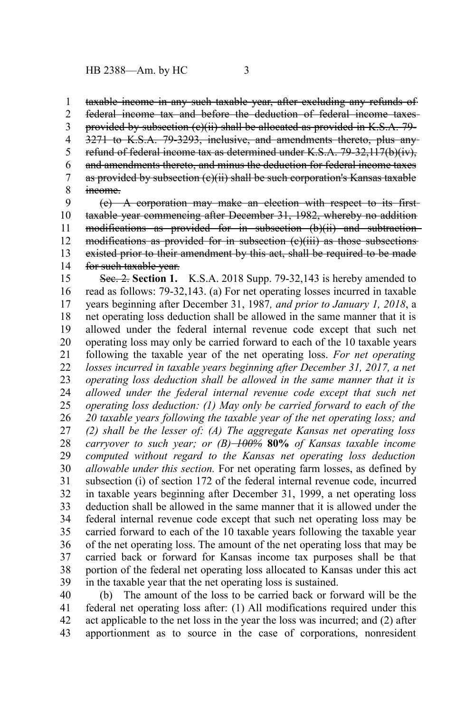taxable income in any such taxable year, after excluding any refunds of 1

federal income tax and before the deduction of federal income taxes 2

provided by subsection (c)(ii) shall be allocated as provided in K.S.A. 79- 3

3271 to K.S.A. 79-3293, inclusive, and amendments thereto, plus any refund of federal income tax as determined under K.S.A. 79-32,117(b)(iv), and amendments thereto, and minus the deduction for federal income taxes as provided by subsection (e)(ii) shall be such corporation's Kansas taxable income. 4 5 6 7 8

(e) A corporation may make an election with respect to its first taxable year commencing after December 31, 1982, whereby no addition modifications as provided for in subsection (b)(ii) and subtractionmodifications as provided for in subsection (e)(iii) as those subsections existed prior to their amendment by this act, shall be required to be made for such taxable year. 9 10 11 12 13 14

Sec. 2. **Section 1.** K.S.A. 2018 Supp. 79-32,143 is hereby amended to read as follows: 79-32,143. (a) For net operating losses incurred in taxable years beginning after December 31, 1987*, and prior to January 1, 2018*, a net operating loss deduction shall be allowed in the same manner that it is allowed under the federal internal revenue code except that such net operating loss may only be carried forward to each of the 10 taxable years following the taxable year of the net operating loss. *For net operating losses incurred in taxable years beginning after December 31, 2017, a net operating loss deduction shall be allowed in the same manner that it is allowed under the federal internal revenue code except that such net operating loss deduction: (1) May only be carried forward to each of the 20 taxable years following the taxable year of the net operating loss; and (2) shall be the lesser of: (A) The aggregate Kansas net operating loss carryover to such year; or (B) 100%* **80%** *of Kansas taxable income computed without regard to the Kansas net operating loss deduction allowable under this section.* For net operating farm losses, as defined by subsection (i) of section 172 of the federal internal revenue code, incurred in taxable years beginning after December 31, 1999, a net operating loss deduction shall be allowed in the same manner that it is allowed under the federal internal revenue code except that such net operating loss may be carried forward to each of the 10 taxable years following the taxable year of the net operating loss. The amount of the net operating loss that may be carried back or forward for Kansas income tax purposes shall be that portion of the federal net operating loss allocated to Kansas under this act in the taxable year that the net operating loss is sustained. 15 16 17 18 19 20 21 22 23 24 25 26 27 28 29 30 31 32 33 34 35 36 37 38 39

(b) The amount of the loss to be carried back or forward will be the federal net operating loss after: (1) All modifications required under this act applicable to the net loss in the year the loss was incurred; and (2) after apportionment as to source in the case of corporations, nonresident 40 41 42 43